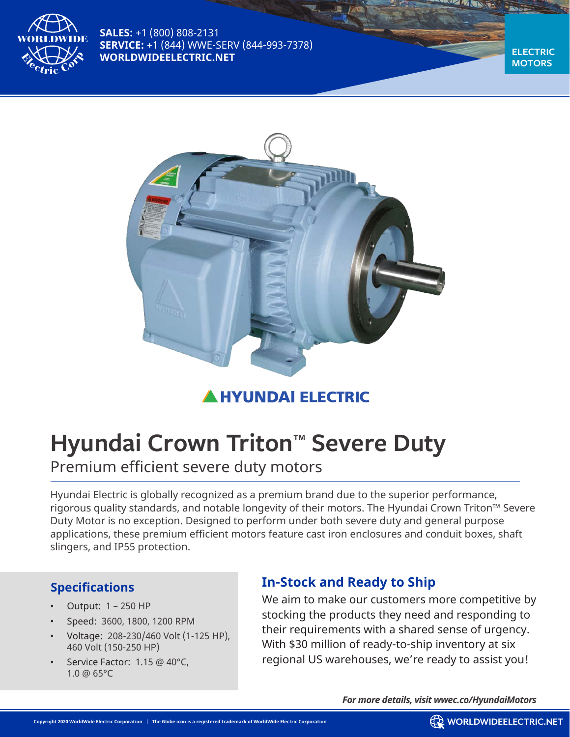

**SALES:** +1 (800) 808-2131 **SERVICE:** +1 (844) WWE-SERV (844-993-7378) **WORLDWIDEELECTRIC.NET**

**ELECTRIC MOTORS**



# **HYUNDAI ELECTRIC**

# **Hyundai Crown Triton™ Severe Duty**

Premium efficient severe duty motors

Hyundai Electric is globally recognized as a premium brand due to the superior performance, rigorous quality standards, and notable longevity of their motors. The Hyundai Crown Triton™ Severe Duty Motor is no exception. Designed to perform under both severe duty and general purpose applications, these premium efficient motors feature cast iron enclosures and conduit boxes, shaft slingers, and IP55 protection.

### **Specifications**

- Output: 1 250 HP
- Speed: 3600, 1800, 1200 RPM
- Voltage: 208-230/460 Volt (1-125 HP), 460 Volt (150-250 HP)
- Service Factor: 1.15 @ 40°C. 1.0 @ 65°C

# **In-Stock and Ready to Ship**

We aim to make our customers more competitive by stocking the products they need and responding to their requirements with a shared sense of urgency. With \$30 million of ready-to-ship inventory at six regional US warehouses, we're ready to assist you!

*For more details, visit wwec.co/HyundaiMotors*